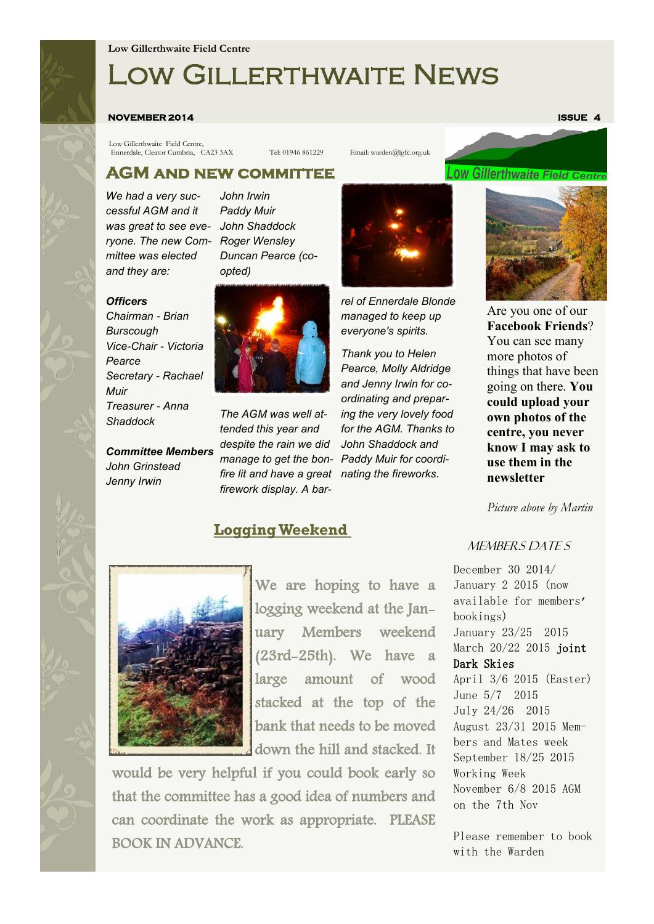#### **Low Gillerthwaite Field Centre**

# Low Gillerthwaite News

#### **NOVEMBER 2014** ISSUE 4 **ISSUE 4**

Low Gillerthwaite Field Centre, Ennerdale, Cleator Cumbria, CA23 3AX Tel: 01946 861229 Email: warden@lgfc.org.uk

## **.0W Gillerthwaite Field Centi**

#### **AGM and new committee**

*We had a very successful AGM and it was great to see eve-John Shaddock ryone. The new Committee was elected and they are:*

*Officers*

*Pearce*

*Muir*

*Chairman - Brian Burscough*

*Treasurer - Anna* 

*John Grinstead Jenny Irwin*

*Shaddock*

*John Irwin Paddy Muir Roger Wensley Duncan Pearce (coopted)*



*Committee Members The AGM was well attended this year and despite the rain we did fire lit and have a great nating the fireworks. firework display. A bar-*

### **Logging Weekend**



*rel of Ennerdale Blonde managed to keep up everyone's spirits.* 

*manage to get the bon-Paddy Muir for coordi-Thank you to Helen Pearce, Molly Aldridge and Jenny Irwin for coordinating and preparing the very lovely food for the AGM. Thanks to John Shaddock and* 



Are you one of our **Facebook Friends**? You can see many more photos of things that have been going on there. **You could upload your own photos of the centre, you never know I may ask to use them in the newsletter**

*Picture above by Martin* 



We are hoping to have a logging weekend at the January Members weekend (23rd-25th). We have a large amount of wood stacked at the top of the bank that needs to be moved down the hill and stacked. It

would be very helpful if you could book early so that the committee has a good idea of numbers and can coordinate the work as appropriate. PLEASE BOOK IN ADVANCE.

#### MEMBERS DATE S

December 30 2014/ January 2 2015 (now available for members' bookings) January 23/25 2015 March 20/22 2015 joint Dark Skies April 3/6 2015 (Easter) June 5/7 2015 July 24/26 2015 August 23/31 2015 Members and Mates week September 18/25 2015 Working Week November 6/8 2015 AGM on the 7th Nov

Please remember to book with the Warden